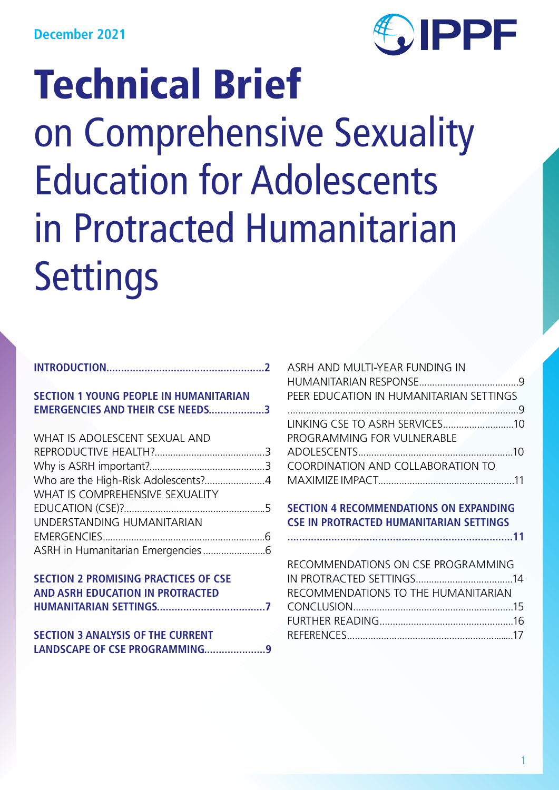

| <b>SECTION 1 YOUNG PEOPLE IN HUMANITARIAN</b> |  |
|-----------------------------------------------|--|
| <b>EMERGENCIES AND THEIR CSE NEEDS3</b>       |  |
|                                               |  |

| WHAT IS ADOLESCENT SEXUAL AND       |  |
|-------------------------------------|--|
|                                     |  |
|                                     |  |
| Who are the High-Risk Adolescents?4 |  |
| WHAT IS COMPREHENSIVE SEXUALITY     |  |
|                                     |  |
| UNDERSTANDING HUMANITARIAN          |  |
|                                     |  |
|                                     |  |
|                                     |  |

| SECTION 2 PROMISING PRACTICES OF CSE |  |
|--------------------------------------|--|
| AND ASRH EDUCATION IN PROTRACTED     |  |
|                                      |  |

| <b>SECTION 3 ANALYSIS OF THE CURRENT</b> |  |
|------------------------------------------|--|
| LANDSCAPE OF CSE PROGRAMMING9            |  |

| ASRH AND MULTI-YEAR FUNDING IN          |  |
|-----------------------------------------|--|
|                                         |  |
| PEER EDUCATION IN HUMANITARIAN SETTINGS |  |
|                                         |  |
|                                         |  |
| PROGRAMMING FOR VULNERABLE              |  |
|                                         |  |
| COORDINATION AND COLLABORATION TO       |  |
|                                         |  |
|                                         |  |

# **SECTION 4 RECOMMENDATIONS ON EXPANDING CSE IN PROTRACTED HUMANITARIAN SETTINGS**

**.............................................................................11**

| RECOMMENDATIONS ON CSE PROGRAMMING  |  |
|-------------------------------------|--|
|                                     |  |
| RECOMMENDATIONS TO THE HUMANITARIAN |  |
|                                     |  |
|                                     |  |
|                                     |  |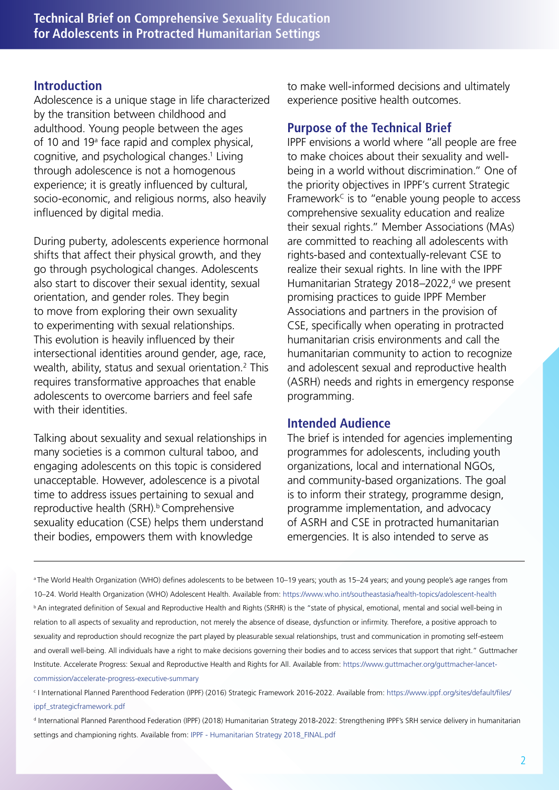#### **Introduction**

Adolescence is a unique stage in life characterized by the transition between childhood and adulthood. Young people between the ages of 10 and 19<sup>ª</sup> face rapid and complex physical, cognitive, and psychological changes.1 Living through adolescence is not a homogenous experience; it is greatly influenced by cultural, socio-economic, and religious norms, also heavily influenced by digital media.

During puberty, adolescents experience hormonal shifts that affect their physical growth, and they go through psychological changes. Adolescents also start to discover their sexual identity, sexual orientation, and gender roles. They begin to move from exploring their own sexuality to experimenting with sexual relationships. This evolution is heavily influenced by their intersectional identities around gender, age, race, wealth, ability, status and sexual orientation.2 This requires transformative approaches that enable adolescents to overcome barriers and feel safe with their identities.

Talking about sexuality and sexual relationships in many societies is a common cultural taboo, and engaging adolescents on this topic is considered unacceptable. However, adolescence is a pivotal time to address issues pertaining to sexual and reproductive health (SRH).<sup>b</sup> Comprehensive sexuality education (CSE) helps them understand their bodies, empowers them with knowledge

to make well-informed decisions and ultimately experience positive health outcomes.

# **Purpose of the Technical Brief**

IPPF envisions a world where "all people are free to make choices about their sexuality and wellbeing in a world without discrimination." One of the priority objectives in IPPF's current Strategic Framework<sup>c</sup> is to "enable young people to access comprehensive sexuality education and realize their sexual rights." Member Associations (MAs) are committed to reaching all adolescents with rights-based and contextually-relevant CSE to realize their sexual rights. In line with the IPPF Humanitarian Strategy 2018–2022,<sup>d</sup> we present promising practices to guide IPPF Member Associations and partners in the provision of CSE, specifically when operating in protracted humanitarian crisis environments and call the humanitarian community to action to recognize and adolescent sexual and reproductive health (ASRH) needs and rights in emergency response programming.

#### **Intended Audience**

The brief is intended for agencies implementing programmes for adolescents, including youth organizations, local and international NGOs, and community-based organizations. The goal is to inform their strategy, programme design, programme implementation, and advocacy of ASRH and CSE in protracted humanitarian emergencies. It is also intended to serve as

a The World Health Organization (WHO) defines adolescents to be between 10–19 years; youth as 15–24 years; and young people's age ranges from 10–24. World Health Organization (WHO) Adolescent Health. Available from: https://www.who.int/southeastasia/health-topics/adolescent-health **b** An integrated definition of Sexual and Reproductive Health and Rights (SRHR) is the "state of physical, emotional, mental and social well-being in relation to all aspects of sexuality and reproduction, not merely the absence of disease, dysfunction or infirmity. Therefore, a positive approach to sexuality and reproduction should recognize the part played by pleasurable sexual relationships, trust and communication in promoting self-esteem and overall well-being. All individuals have a right to make decisions governing their bodies and to access services that support that right." Guttmacher Institute. Accelerate Progress: Sexual and Reproductive Health and Rights for All. Available from: https://www.guttmacher.org/guttmacher-lancetcommission/accelerate-progress-executive-summary

c I International Planned Parenthood Federation (IPPF) (2016) Strategic Framework 2016-2022. Available from: https://www.ippf.org/sites/default/files/ ippf\_strategicframework.pdf

d International Planned Parenthood Federation (IPPF) (2018) Humanitarian Strategy 2018-2022: Strengthening IPPF's SRH service delivery in humanitarian settings and championing rights. Available from: IPPF - Humanitarian Strategy 2018\_FINAL.pdf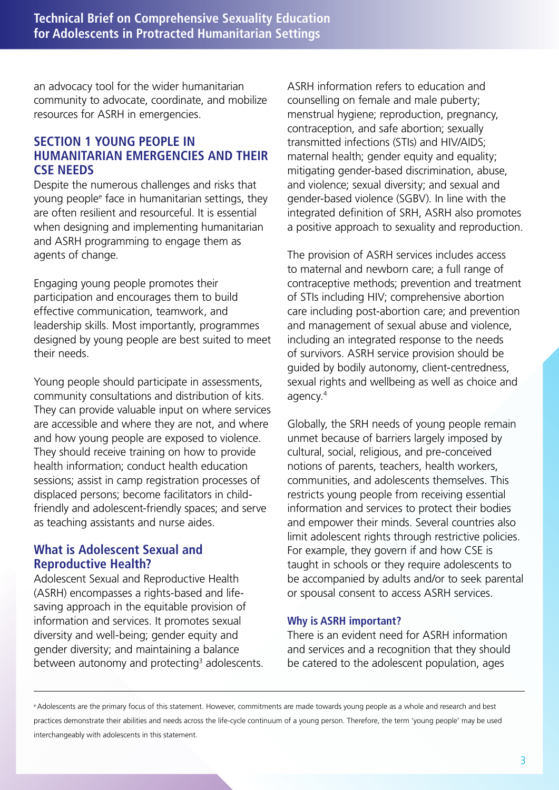an advocacy tool for the wider humanitarian community to advocate, coordinate, and mobilize resources for ASRH in emergencies.

## **SECTION 1 YOUNG PEOPLE IN HUMANITARIAN EMERGENCIES AND THEIR CSE NEEDS**

Despite the numerous challenges and risks that young peoplee face in humanitarian settings, they are often resilient and resourceful. It is essential when designing and implementing humanitarian and ASRH programming to engage them as agents of change.

Engaging young people promotes their participation and encourages them to build effective communication, teamwork, and leadership skills. Most importantly, programmes designed by young people are best suited to meet their needs.

Young people should participate in assessments, community consultations and distribution of kits. They can provide valuable input on where services are accessible and where they are not, and where and how young people are exposed to violence. They should receive training on how to provide health information; conduct health education sessions; assist in camp registration processes of displaced persons; become facilitators in childfriendly and adolescent-friendly spaces; and serve as teaching assistants and nurse aides.

## **What is Adolescent Sexual and Reproductive Health?**

Adolescent Sexual and Reproductive Health (ASRH) encompasses a rights-based and lifesaving approach in the equitable provision of information and services. It promotes sexual diversity and well-being; gender equity and gender diversity; and maintaining a balance between autonomy and protecting<sup>3</sup> adolescents. ASRH information refers to education and counselling on female and male puberty; menstrual hygiene; reproduction, pregnancy, contraception, and safe abortion; sexually transmitted infections (STIs) and HIV/AIDS; maternal health; gender equity and equality; mitigating gender-based discrimination, abuse, and violence; sexual diversity; and sexual and gender-based violence (SGBV). In line with the integrated definition of SRH, ASRH also promotes a positive approach to sexuality and reproduction.

The provision of ASRH services includes access to maternal and newborn care; a full range of contraceptive methods; prevention and treatment of STIs including HIV; comprehensive abortion care including post-abortion care; and prevention and management of sexual abuse and violence, including an integrated response to the needs of survivors. ASRH service provision should be guided by bodily autonomy, client-centredness, sexual rights and wellbeing as well as choice and agency.4

Globally, the SRH needs of young people remain unmet because of barriers largely imposed by cultural, social, religious, and pre-conceived notions of parents, teachers, health workers, communities, and adolescents themselves. This restricts young people from receiving essential information and services to protect their bodies and empower their minds. Several countries also limit adolescent rights through restrictive policies. For example, they govern if and how CSE is taught in schools or they require adolescents to be accompanied by adults and/or to seek parental or spousal consent to access ASRH services.

#### **Why is ASRH important?**

There is an evident need for ASRH information and services and a recognition that they should be catered to the adolescent population, ages

e Adolescents are the primary focus of this statement. However, commitments are made towards young people as a whole and research and best practices demonstrate their abilities and needs across the life-cycle continuum of a young person. Therefore, the term 'young people' may be used interchangeably with adolescents in this statement.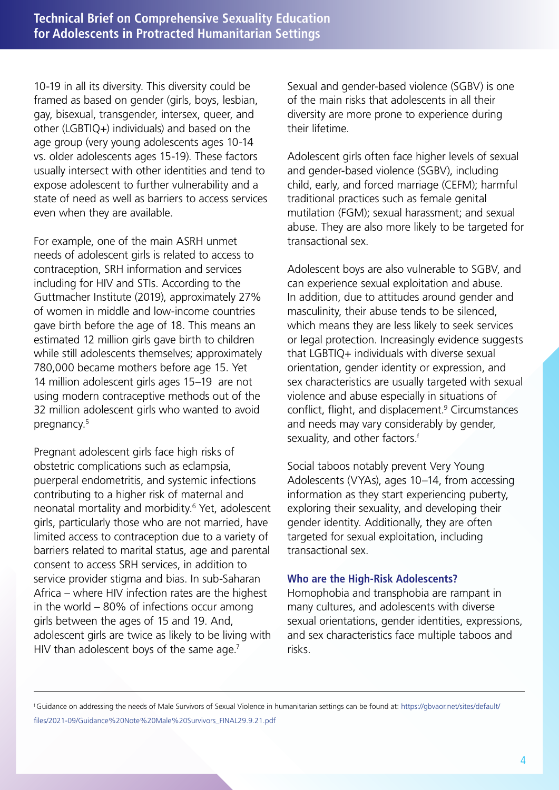10-19 in all its diversity. This diversity could be framed as based on gender (girls, boys, lesbian, gay, bisexual, transgender, intersex, queer, and other (LGBTIQ+) individuals) and based on the age group (very young adolescents ages 10-14 vs. older adolescents ages 15-19). These factors usually intersect with other identities and tend to expose adolescent to further vulnerability and a state of need as well as barriers to access services even when they are available.

For example, one of the main ASRH unmet needs of adolescent girls is related to access to contraception, SRH information and services including for HIV and STIs. According to the Guttmacher Institute (2019), approximately 27% of women in middle and low-income countries gave birth before the age of 18. This means an estimated 12 million girls gave birth to children while still adolescents themselves; approximately 780,000 became mothers before age 15. Yet 14 million adolescent girls ages 15–19 are not using modern contraceptive methods out of the 32 million adolescent girls who wanted to avoid pregnancy.<sup>5</sup>

Pregnant adolescent girls face high risks of obstetric complications such as eclampsia, puerperal endometritis, and systemic infections contributing to a higher risk of maternal and neonatal mortality and morbidity.6 Yet, adolescent girls, particularly those who are not married, have limited access to contraception due to a variety of barriers related to marital status, age and parental consent to access SRH services, in addition to service provider stigma and bias. In sub-Saharan Africa – where HIV infection rates are the highest in the world – 80% of infections occur among girls between the ages of 15 and 19. And, adolescent girls are twice as likely to be living with HIV than adolescent boys of the same age. $<sup>7</sup>$ </sup>

Sexual and gender-based violence (SGBV) is one of the main risks that adolescents in all their diversity are more prone to experience during their lifetime.

Adolescent girls often face higher levels of sexual and gender-based violence (SGBV), including child, early, and forced marriage (CEFM); harmful traditional practices such as female genital mutilation (FGM); sexual harassment; and sexual abuse. They are also more likely to be targeted for transactional sex.

Adolescent boys are also vulnerable to SGBV, and can experience sexual exploitation and abuse. In addition, due to attitudes around gender and masculinity, their abuse tends to be silenced, which means they are less likely to seek services or legal protection. Increasingly evidence suggests that LGBTIQ+ individuals with diverse sexual orientation, gender identity or expression, and sex characteristics are usually targeted with sexual violence and abuse especially in situations of conflict, flight, and displacement.<sup>9</sup> Circumstances and needs may vary considerably by gender, sexuality, and other factors.<sup>f</sup>

Social taboos notably prevent Very Young Adolescents (VYAs), ages 10–14, from accessing information as they start experiencing puberty, exploring their sexuality, and developing their gender identity. Additionally, they are often targeted for sexual exploitation, including transactional sex.

#### **Who are the High-Risk Adolescents?**

Homophobia and transphobia are rampant in many cultures, and adolescents with diverse sexual orientations, gender identities, expressions, and sex characteristics face multiple taboos and risks.

f Guidance on addressing the needs of Male Survivors of Sexual Violence in humanitarian settings can be found at: https://gbvaor.net/sites/default/ files/2021-09/Guidance%20Note%20Male%20Survivors\_FINAL29.9.21.pdf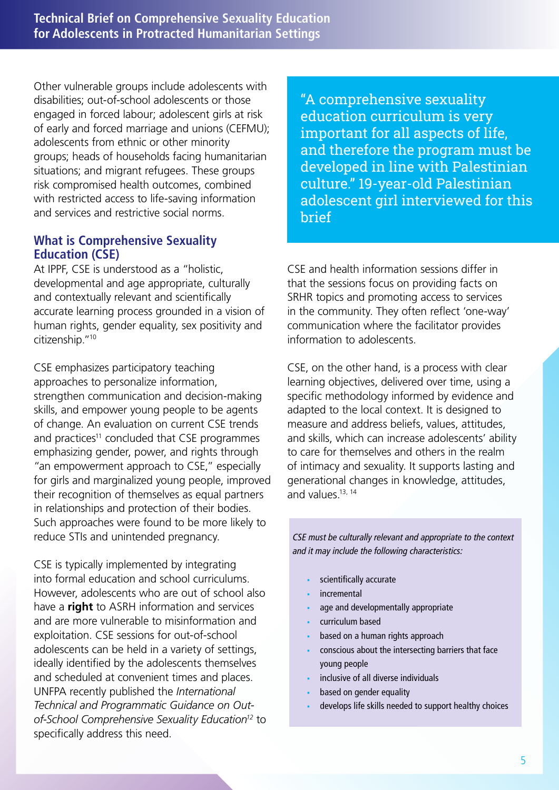Other vulnerable groups include adolescents with disabilities; out-of-school adolescents or those engaged in forced labour; adolescent girls at risk of early and forced marriage and unions (CEFMU); adolescents from ethnic or other minority groups; heads of households facing humanitarian situations; and migrant refugees. These groups risk compromised health outcomes, combined with restricted access to life-saving information and services and restrictive social norms.

### **What is Comprehensive Sexuality Education (CSE)**

At IPPF, CSE is understood as a "holistic, developmental and age appropriate, culturally and contextually relevant and scientifically accurate learning process grounded in a vision of human rights, gender equality, sex positivity and citizenship."10

CSE emphasizes participatory teaching approaches to personalize information, strengthen communication and decision-making skills, and empower young people to be agents of change. An evaluation on current CSE trends and practices<sup>11</sup> concluded that CSE programmes emphasizing gender, power, and rights through "an empowerment approach to CSE," especially for girls and marginalized young people, improved their recognition of themselves as equal partners in relationships and protection of their bodies. Such approaches were found to be more likely to reduce STIs and unintended pregnancy.

CSE is typically implemented by integrating into formal education and school curriculums. However, adolescents who are out of school also have a **right** to ASRH information and services and are more vulnerable to misinformation and exploitation. CSE sessions for out-of-school adolescents can be held in a variety of settings, ideally identified by the adolescents themselves and scheduled at convenient times and places. UNFPA recently published the *International Technical and Programmatic Guidance on Outof-School Comprehensive Sexuality Education12* to specifically address this need.

"A comprehensive sexuality education curriculum is very important for all aspects of life, and therefore the program must be developed in line with Palestinian culture." 19-year-old Palestinian adolescent girl interviewed for this brief

CSE and health information sessions differ in that the sessions focus on providing facts on SRHR topics and promoting access to services in the community. They often reflect 'one-way' communication where the facilitator provides information to adolescents.

CSE, on the other hand, is a process with clear learning objectives, delivered over time, using a specific methodology informed by evidence and adapted to the local context. It is designed to measure and address beliefs, values, attitudes, and skills, which can increase adolescents' ability to care for themselves and others in the realm of intimacy and sexuality. It supports lasting and generational changes in knowledge, attitudes, and values.13, 14

CSE must be culturally relevant and appropriate to the context and it may include the following characteristics:

- scientifically accurate
- **incremental**
- age and developmentally appropriate
- curriculum based
- based on a human rights approach
- conscious about the intersecting barriers that face young people
- inclusive of all diverse individuals
- based on gender equality
- develops life skills needed to support healthy choices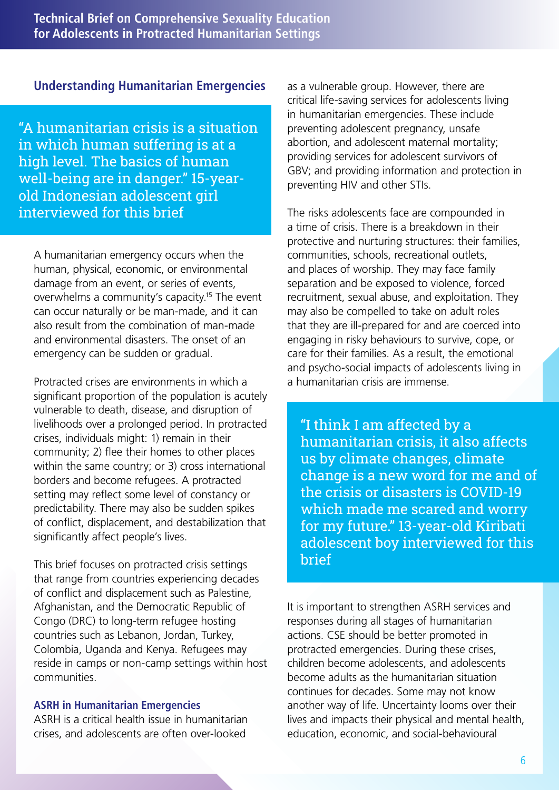## **Understanding Humanitarian Emergencies**

"A humanitarian crisis is a situation in which human suffering is at a high level. The basics of human well-being are in danger." 15-yearold Indonesian adolescent girl interviewed for this brief

A humanitarian emergency occurs when the human, physical, economic, or environmental damage from an event, or series of events, overwhelms a community's capacity.15 The event can occur naturally or be man-made, and it can also result from the combination of man-made and environmental disasters. The onset of an emergency can be sudden or gradual.

Protracted crises are environments in which a significant proportion of the population is acutely vulnerable to death, disease, and disruption of livelihoods over a prolonged period. In protracted crises, individuals might: 1) remain in their community; 2) flee their homes to other places within the same country; or 3) cross international borders and become refugees. A protracted setting may reflect some level of constancy or predictability. There may also be sudden spikes of conflict, displacement, and destabilization that significantly affect people's lives.

This brief focuses on protracted crisis settings that range from countries experiencing decades of conflict and displacement such as Palestine, Afghanistan, and the Democratic Republic of Congo (DRC) to long-term refugee hosting countries such as Lebanon, Jordan, Turkey, Colombia, Uganda and Kenya. Refugees may reside in camps or non-camp settings within host communities.

#### **ASRH in Humanitarian Emergencies**

ASRH is a critical health issue in humanitarian crises, and adolescents are often over-looked

as a vulnerable group. However, there are critical life-saving services for adolescents living in humanitarian emergencies. These include preventing adolescent pregnancy, unsafe abortion, and adolescent maternal mortality; providing services for adolescent survivors of GBV; and providing information and protection in preventing HIV and other STIs.

The risks adolescents face are compounded in a time of crisis. There is a breakdown in their protective and nurturing structures: their families, communities, schools, recreational outlets, and places of worship. They may face family separation and be exposed to violence, forced recruitment, sexual abuse, and exploitation. They may also be compelled to take on adult roles that they are ill-prepared for and are coerced into engaging in risky behaviours to survive, cope, or care for their families. As a result, the emotional and psycho-social impacts of adolescents living in a humanitarian crisis are immense.

"I think I am affected by a humanitarian crisis, it also affects us by climate changes, climate change is a new word for me and of the crisis or disasters is COVID-19 which made me scared and worry for my future." 13-year-old Kiribati adolescent boy interviewed for this brief

It is important to strengthen ASRH services and responses during all stages of humanitarian actions. CSE should be better promoted in protracted emergencies. During these crises, children become adolescents, and adolescents become adults as the humanitarian situation continues for decades. Some may not know another way of life. Uncertainty looms over their lives and impacts their physical and mental health, education, economic, and social-behavioural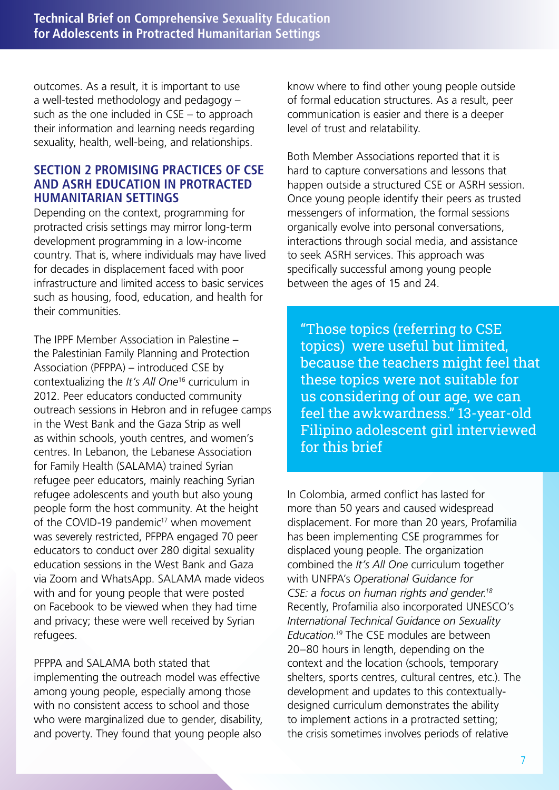outcomes. As a result, it is important to use a well-tested methodology and pedagogy – such as the one included in CSE – to approach their information and learning needs regarding sexuality, health, well-being, and relationships.

## **SECTION 2 PROMISING PRACTICES OF CSE AND ASRH EDUCATION IN PROTRACTED HUMANITARIAN SETTINGS**

Depending on the context, programming for protracted crisis settings may mirror long-term development programming in a low-income country. That is, where individuals may have lived for decades in displacement faced with poor infrastructure and limited access to basic services such as housing, food, education, and health for their communities.

The IPPF Member Association in Palestine – the Palestinian Family Planning and Protection Association (PFPPA) – introduced CSE by contextualizing the *It's All One*16 curriculum in 2012. Peer educators conducted community outreach sessions in Hebron and in refugee camps in the West Bank and the Gaza Strip as well as within schools, youth centres, and women's centres. In Lebanon, the Lebanese Association for Family Health (SALAMA) trained Syrian refugee peer educators, mainly reaching Syrian refugee adolescents and youth but also young people form the host community. At the height of the COVID-19 pandemic<sup>17</sup> when movement was severely restricted, PFPPA engaged 70 peer educators to conduct over 280 digital sexuality education sessions in the West Bank and Gaza via Zoom and WhatsApp. SALAMA made videos with and for young people that were posted on Facebook to be viewed when they had time and privacy; these were well received by Syrian refugees.

PFPPA and SALAMA both stated that implementing the outreach model was effective among young people, especially among those with no consistent access to school and those who were marginalized due to gender, disability, and poverty. They found that young people also

know where to find other young people outside of formal education structures. As a result, peer communication is easier and there is a deeper level of trust and relatability.

Both Member Associations reported that it is hard to capture conversations and lessons that happen outside a structured CSE or ASRH session. Once young people identify their peers as trusted messengers of information, the formal sessions organically evolve into personal conversations, interactions through social media, and assistance to seek ASRH services. This approach was specifically successful among young people between the ages of 15 and 24.

"Those topics (referring to CSE topics) were useful but limited, because the teachers might feel that these topics were not suitable for us considering of our age, we can feel the awkwardness." 13-year-old Filipino adolescent girl interviewed for this brief

In Colombia, armed conflict has lasted for more than 50 years and caused widespread displacement. For more than 20 years, Profamilia has been implementing CSE programmes for displaced young people. The organization combined the *It's All One* curriculum together with UNFPA's *Operational Guidance for CSE: a focus on human rights and gender.18* Recently, Profamilia also incorporated UNESCO's *International Technical Guidance on Sexuality Education.19* The CSE modules are between 20–80 hours in length, depending on the context and the location (schools, temporary shelters, sports centres, cultural centres, etc.). The development and updates to this contextuallydesigned curriculum demonstrates the ability to implement actions in a protracted setting; the crisis sometimes involves periods of relative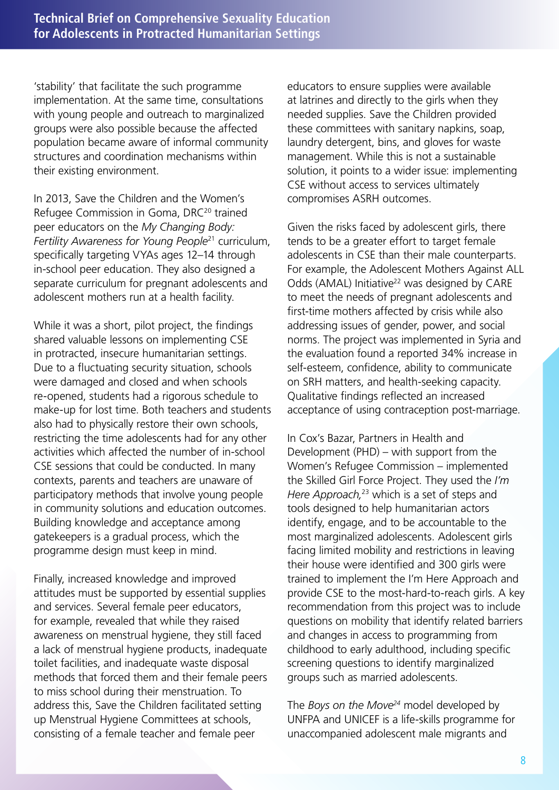'stability' that facilitate the such programme implementation. At the same time, consultations with young people and outreach to marginalized groups were also possible because the affected population became aware of informal community structures and coordination mechanisms within their existing environment.

In 2013, Save the Children and the Women's Refugee Commission in Goma, DRC<sup>20</sup> trained peer educators on the *My Changing Body: Fertility Awareness for Young People*21 curriculum, specifically targeting VYAs ages 12–14 through in-school peer education. They also designed a separate curriculum for pregnant adolescents and adolescent mothers run at a health facility.

While it was a short, pilot project, the findings shared valuable lessons on implementing CSE in protracted, insecure humanitarian settings. Due to a fluctuating security situation, schools were damaged and closed and when schools re-opened, students had a rigorous schedule to make-up for lost time. Both teachers and students also had to physically restore their own schools, restricting the time adolescents had for any other activities which affected the number of in-school CSE sessions that could be conducted. In many contexts, parents and teachers are unaware of participatory methods that involve young people in community solutions and education outcomes. Building knowledge and acceptance among gatekeepers is a gradual process, which the programme design must keep in mind.

Finally, increased knowledge and improved attitudes must be supported by essential supplies and services. Several female peer educators, for example, revealed that while they raised awareness on menstrual hygiene, they still faced a lack of menstrual hygiene products, inadequate toilet facilities, and inadequate waste disposal methods that forced them and their female peers to miss school during their menstruation. To address this, Save the Children facilitated setting up Menstrual Hygiene Committees at schools, consisting of a female teacher and female peer

educators to ensure supplies were available at latrines and directly to the girls when they needed supplies. Save the Children provided these committees with sanitary napkins, soap, laundry detergent, bins, and gloves for waste management. While this is not a sustainable solution, it points to a wider issue: implementing CSE without access to services ultimately compromises ASRH outcomes.

Given the risks faced by adolescent girls, there tends to be a greater effort to target female adolescents in CSE than their male counterparts. For example, the Adolescent Mothers Against ALL Odds (AMAL) Initiative<sup>22</sup> was designed by CARE to meet the needs of pregnant adolescents and first-time mothers affected by crisis while also addressing issues of gender, power, and social norms. The project was implemented in Syria and the evaluation found a reported 34% increase in self-esteem, confidence, ability to communicate on SRH matters, and health-seeking capacity. Qualitative findings reflected an increased acceptance of using contraception post-marriage.

In Cox's Bazar, Partners in Health and Development (PHD) – with support from the Women's Refugee Commission – implemented the Skilled Girl Force Project. They used the *I'm Here Approach,*23 which is a set of steps and tools designed to help humanitarian actors identify, engage, and to be accountable to the most marginalized adolescents. Adolescent girls facing limited mobility and restrictions in leaving their house were identified and 300 girls were trained to implement the I'm Here Approach and provide CSE to the most-hard-to-reach girls. A key recommendation from this project was to include questions on mobility that identify related barriers and changes in access to programming from childhood to early adulthood, including specific screening questions to identify marginalized groups such as married adolescents.

The *Boys on the Move*<sup>24</sup> model developed by UNFPA and UNICEF is a life-skills programme for unaccompanied adolescent male migrants and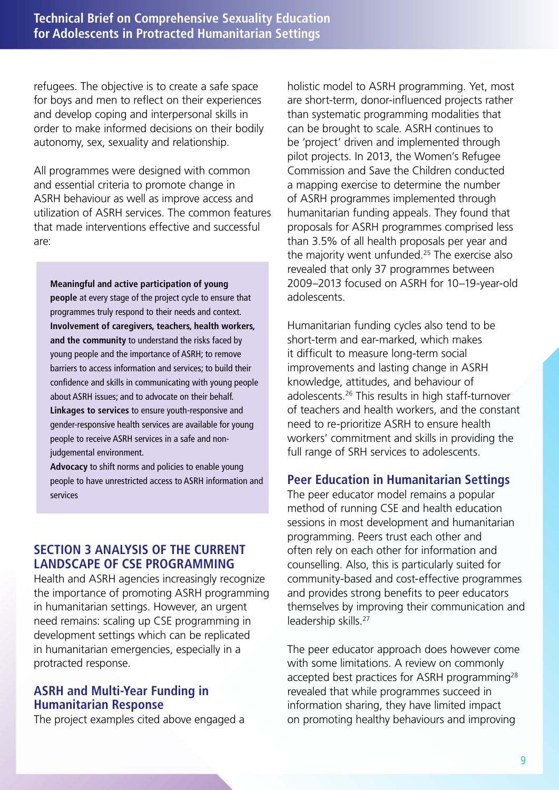refugees. The objective is to create a safe space for boys and men to reflect on their experiences and develop coping and interpersonal skills in order to make informed decisions on their bodily autonomy, sex, sexuality and relationship.

All programmes were designed with common and essential criteria to promote change in ASRH behaviour as well as improve access and utilization of ASRH services. The common features that made interventions effective and successful are:

**Meaningful and active participation of young people** at every stage of the project cycle to ensure that programmes truly respond to their needs and context. **Involvement of caregivers, teachers, health workers, and the community** to understand the risks faced by young people and the importance of ASRH; to remove barriers to access information and services; to build their confidence and skills in communicating with young people about ASRH issues; and to advocate on their behalf. **Linkages to services** to ensure youth-responsive and gender-responsive health services are available for young people to receive ASRH services in a safe and nonjudgemental environment.

**Advocacy** to shift norms and policies to enable young people to have unrestricted access to ASRH information and services

# **SECTION 3 ANALYSIS OF THE CURRENT LANDSCAPE OF CSE PROGRAMMING**

Health and ASRH agencies increasingly recognize the importance of promoting ASRH programming in humanitarian settings. However, an urgent need remains: scaling up CSE programming in development settings which can be replicated in humanitarian emergencies, especially in a protracted response.

# **ASRH and Multi-Year Funding in Humanitarian Response**

The project examples cited above engaged a

holistic model to ASRH programming. Yet, most are short-term, donor-influenced projects rather than systematic programming modalities that can be brought to scale. ASRH continues to be 'project' driven and implemented through pilot projects. In 2013, the Women's Refugee Commission and Save the Children conducted a mapping exercise to determine the number of ASRH programmes implemented through humanitarian funding appeals. They found that proposals for ASRH programmes comprised less than 3.5% of all health proposals per year and the majority went unfunded.25 The exercise also revealed that only 37 programmes between 2009–2013 focused on ASRH for 10–19-year-old adolescents.

Humanitarian funding cycles also tend to be short-term and ear-marked, which makes it difficult to measure long-term social improvements and lasting change in ASRH knowledge, attitudes, and behaviour of adolescents.26 This results in high staff-turnover of teachers and health workers, and the constant need to re-prioritize ASRH to ensure health workers' commitment and skills in providing the full range of SRH services to adolescents.

# **Peer Education in Humanitarian Settings**

The peer educator model remains a popular method of running CSE and health education sessions in most development and humanitarian programming. Peers trust each other and often rely on each other for information and counselling. Also, this is particularly suited for community-based and cost-effective programmes and provides strong benefits to peer educators themselves by improving their communication and leadership skills.27

The peer educator approach does however come with some limitations. A review on commonly accepted best practices for ASRH programming<sup>28</sup> revealed that while programmes succeed in information sharing, they have limited impact on promoting healthy behaviours and improving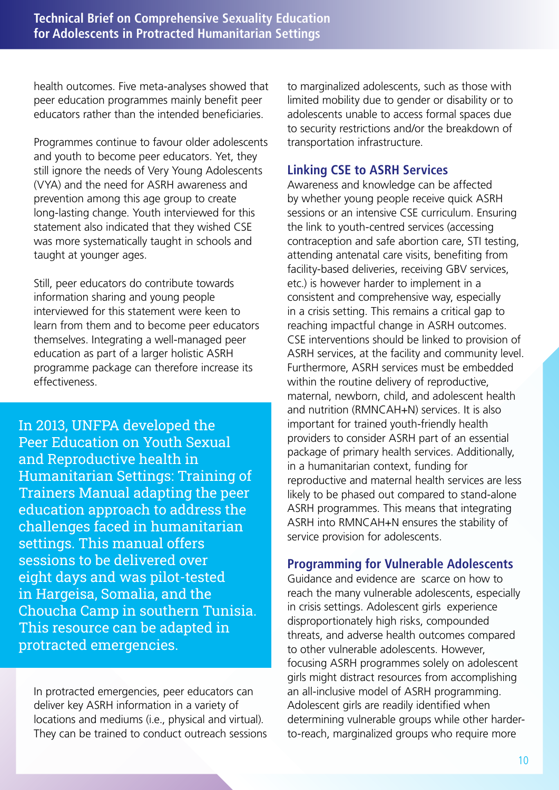health outcomes. Five meta-analyses showed that peer education programmes mainly benefit peer educators rather than the intended beneficiaries.

Programmes continue to favour older adolescents and youth to become peer educators. Yet, they still ignore the needs of Very Young Adolescents (VYA) and the need for ASRH awareness and prevention among this age group to create long-lasting change. Youth interviewed for this statement also indicated that they wished CSE was more systematically taught in schools and taught at younger ages.

Still, peer educators do contribute towards information sharing and young people interviewed for this statement were keen to learn from them and to become peer educators themselves. Integrating a well-managed peer education as part of a larger holistic ASRH programme package can therefore increase its effectiveness.

In 2013, UNFPA developed the Peer Education on Youth Sexual and Reproductive health in Humanitarian Settings: Training of Trainers Manual adapting the peer education approach to address the challenges faced in humanitarian settings. This manual offers sessions to be delivered over eight days and was pilot-tested in Hargeisa, Somalia, and the Choucha Camp in southern Tunisia. This resource can be adapted in protracted emergencies.

In protracted emergencies, peer educators can deliver key ASRH information in a variety of locations and mediums (i.e., physical and virtual). They can be trained to conduct outreach sessions to marginalized adolescents, such as those with limited mobility due to gender or disability or to adolescents unable to access formal spaces due to security restrictions and/or the breakdown of transportation infrastructure.

# **Linking CSE to ASRH Services**

Awareness and knowledge can be affected by whether young people receive quick ASRH sessions or an intensive CSE curriculum. Ensuring the link to youth-centred services (accessing contraception and safe abortion care, STI testing, attending antenatal care visits, benefiting from facility-based deliveries, receiving GBV services, etc.) is however harder to implement in a consistent and comprehensive way, especially in a crisis setting. This remains a critical gap to reaching impactful change in ASRH outcomes. CSE interventions should be linked to provision of ASRH services, at the facility and community level. Furthermore, ASRH services must be embedded within the routine delivery of reproductive, maternal, newborn, child, and adolescent health and nutrition (RMNCAH+N) services. It is also important for trained youth-friendly health providers to consider ASRH part of an essential package of primary health services. Additionally, in a humanitarian context, funding for reproductive and maternal health services are less likely to be phased out compared to stand-alone ASRH programmes. This means that integrating ASRH into RMNCAH+N ensures the stability of service provision for adolescents.

## **Programming for Vulnerable Adolescents**

Guidance and evidence are scarce on how to reach the many vulnerable adolescents, especially in crisis settings. Adolescent girls experience disproportionately high risks, compounded threats, and adverse health outcomes compared to other vulnerable adolescents. However, focusing ASRH programmes solely on adolescent girls might distract resources from accomplishing an all-inclusive model of ASRH programming. Adolescent girls are readily identified when determining vulnerable groups while other harderto-reach, marginalized groups who require more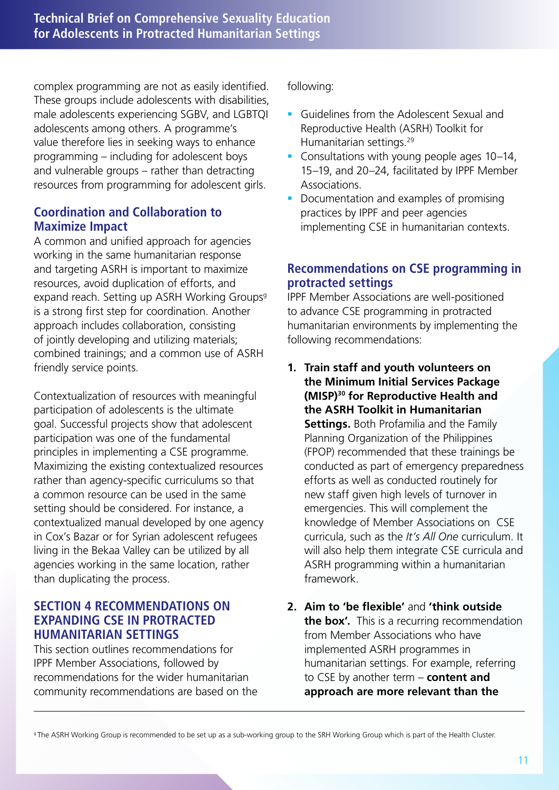complex programming are not as easily identified. These groups include adolescents with disabilities, male adolescents experiencing SGBV, and LGBTQI adolescents among others. A programme's value therefore lies in seeking ways to enhance programming – including for adolescent boys and vulnerable groups – rather than detracting resources from programming for adolescent girls.

# **Coordination and Collaboration to Maximize Impact**

A common and unified approach for agencies working in the same humanitarian response and targeting ASRH is important to maximize resources, avoid duplication of efforts, and expand reach. Setting up ASRH Working Groups<sup>9</sup> is a strong first step for coordination. Another approach includes collaboration, consisting of jointly developing and utilizing materials; combined trainings; and a common use of ASRH friendly service points.

Contextualization of resources with meaningful participation of adolescents is the ultimate goal. Successful projects show that adolescent participation was one of the fundamental principles in implementing a CSE programme. Maximizing the existing contextualized resources rather than agency-specific curriculums so that a common resource can be used in the same setting should be considered. For instance, a contextualized manual developed by one agency in Cox's Bazar or for Syrian adolescent refugees living in the Bekaa Valley can be utilized by all agencies working in the same location, rather than duplicating the process.

## **SECTION 4 RECOMMENDATIONS ON EXPANDING CSE IN PROTRACTED HUMANITARIAN SETTINGS**

This section outlines recommendations for IPPF Member Associations, followed by recommendations for the wider humanitarian community recommendations are based on the following:

- **Guidelines from the Adolescent Sexual and Guidelines from the Adolescent Sexual and** Reproductive Health (ASRH) Toolkit for Humanitarian settings.29
- Consultations with young people ages 10–14, 15–19, and 20–24, facilitated by IPPF Member Associations.
- Documentation and examples of promising practices by IPPF and peer agencies implementing CSE in humanitarian contexts.

# **Recommendations on CSE programming in protracted settings**

IPPF Member Associations are well-positioned to advance CSE programming in protracted humanitarian environments by implementing the following recommendations:

- **1. Train staff and youth volunteers on the Minimum Initial Services Package (MISP)30 for Reproductive Health and the ASRH Toolkit in Humanitarian Settings.** Both Profamilia and the Family Planning Organization of the Philippines (FPOP) recommended that these trainings be conducted as part of emergency preparedness efforts as well as conducted routinely for new staff given high levels of turnover in emergencies. This will complement the knowledge of Member Associations on CSE curricula, such as the *It's All One* curriculum. It will also help them integrate CSE curricula and ASRH programming within a humanitarian framework.
- **2. Aim to 'be flexible'** and **'think outside the box'.** This is a recurring recommendation from Member Associations who have implemented ASRH programmes in humanitarian settings. For example, referring to CSE by another term – **content and approach are more relevant than the**

<sup>9</sup>The ASRH Working Group is recommended to be set up as a sub-working group to the SRH Working Group which is part of the Health Cluster.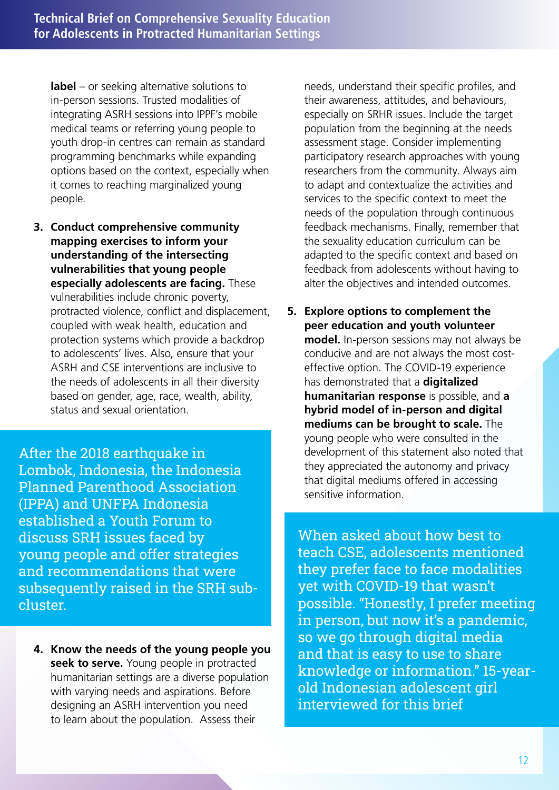**label** – or seeking alternative solutions to in-person sessions. Trusted modalities of integrating ASRH sessions into IPPF's mobile medical teams or referring young people to youth drop-in centres can remain as standard programming benchmarks while expanding options based on the context, especially when it comes to reaching marginalized young people.

**3. Conduct comprehensive community mapping exercises to inform your understanding of the intersecting vulnerabilities that young people especially adolescents are facing.** These vulnerabilities include chronic poverty, protracted violence, conflict and displacement, coupled with weak health, education and protection systems which provide a backdrop to adolescents' lives. Also, ensure that your ASRH and CSE interventions are inclusive to the needs of adolescents in all their diversity based on gender, age, race, wealth, ability, status and sexual orientation.

After the 2018 earthquake in Lombok, Indonesia, the Indonesia Planned Parenthood Association (IPPA) and UNFPA Indonesia established a Youth Forum to discuss SRH issues faced by young people and offer strategies and recommendations that were subsequently raised in the SRH subcluster.

**4. Know the needs of the young people you seek to serve.** Young people in protracted humanitarian settings are a diverse population with varying needs and aspirations. Before designing an ASRH intervention you need to learn about the population. Assess their

needs, understand their specific profiles, and their awareness, attitudes, and behaviours, especially on SRHR issues. Include the target population from the beginning at the needs assessment stage. Consider implementing participatory research approaches with young researchers from the community. Always aim to adapt and contextualize the activities and services to the specific context to meet the needs of the population through continuous feedback mechanisms. Finally, remember that the sexuality education curriculum can be adapted to the specific context and based on feedback from adolescents without having to alter the objectives and intended outcomes.

**5. Explore options to complement the peer education and youth volunteer model.** In-person sessions may not always be conducive and are not always the most costeffective option. The COVID-19 experience has demonstrated that a **digitalized humanitarian response** is possible, and **a hybrid model of in-person and digital mediums can be brought to scale.** The young people who were consulted in the development of this statement also noted that they appreciated the autonomy and privacy that digital mediums offered in accessing sensitive information.

When asked about how best to teach CSE, adolescents mentioned they prefer face to face modalities yet with COVID-19 that wasn't possible. "Honestly, I prefer meeting in person, but now it's a pandemic, so we go through digital media and that is easy to use to share knowledge or information." 15-yearold Indonesian adolescent girl interviewed for this brief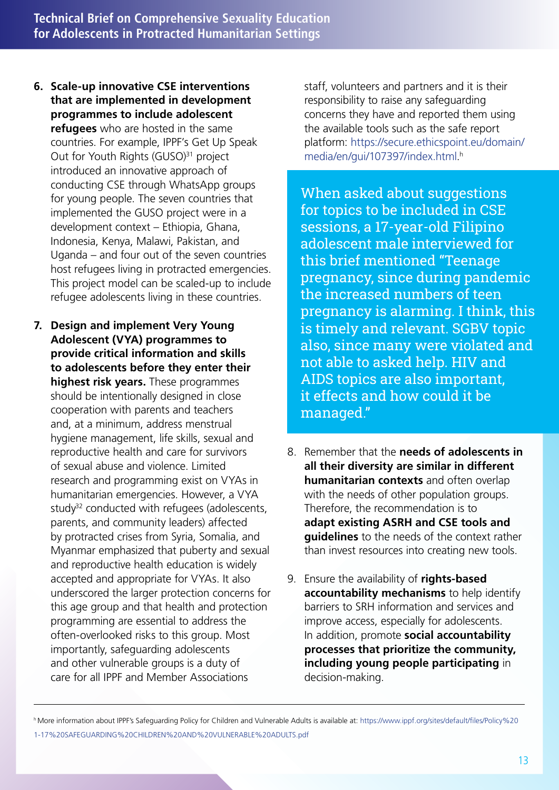- **6. Scale-up innovative CSE interventions that are implemented in development programmes to include adolescent refugees** who are hosted in the same countries. For example, IPPF's Get Up Speak Out for Youth Rights (GUSO)<sup>31</sup> project introduced an innovative approach of conducting CSE through WhatsApp groups for young people. The seven countries that implemented the GUSO project were in a development context – Ethiopia, Ghana, Indonesia, Kenya, Malawi, Pakistan, and Uganda – and four out of the seven countries host refugees living in protracted emergencies. This project model can be scaled-up to include refugee adolescents living in these countries.
- **7. Design and implement Very Young Adolescent (VYA) programmes to provide critical information and skills to adolescents before they enter their highest risk years.** These programmes should be intentionally designed in close cooperation with parents and teachers and, at a minimum, address menstrual hygiene management, life skills, sexual and reproductive health and care for survivors of sexual abuse and violence. Limited research and programming exist on VYAs in humanitarian emergencies. However, a VYA study<sup>32</sup> conducted with refugees (adolescents, parents, and community leaders) affected by protracted crises from Syria, Somalia, and Myanmar emphasized that puberty and sexual and reproductive health education is widely accepted and appropriate for VYAs. It also underscored the larger protection concerns for this age group and that health and protection programming are essential to address the often-overlooked risks to this group. Most importantly, safeguarding adolescents and other vulnerable groups is a duty of care for all IPPF and Member Associations

staff, volunteers and partners and it is their responsibility to raise any safeguarding concerns they have and reported them using the available tools such as the safe report platform: https://secure.ethicspoint.eu/domain/ media/en/gui/107397/index.html. h

When asked about suggestions for topics to be included in CSE sessions, a 17-year-old Filipino adolescent male interviewed for this brief mentioned "Teenage pregnancy, since during pandemic the increased numbers of teen pregnancy is alarming. I think, this is timely and relevant. SGBV topic also, since many were violated and not able to asked help. HIV and AIDS topics are also important, it effects and how could it be managed."

- 8. Remember that the **needs of adolescents in all their diversity are similar in different humanitarian contexts** and often overlap with the needs of other population groups. Therefore, the recommendation is to **adapt existing ASRH and CSE tools and guidelines** to the needs of the context rather than invest resources into creating new tools.
- 9. Ensure the availability of **rights-based accountability mechanisms** to help identify barriers to SRH information and services and improve access, especially for adolescents. In addition, promote **social accountability processes that prioritize the community, including young people participating** in decision-making.

h More information about IPPF's Safeguarding Policy for Children and Vulnerable Adults is available at: https://www.ippf.org/sites/default/files/Policy%20 1-17%20SAFEGUARDING%20CHILDREN%20AND%20VULNERABLE%20ADULTS.pdf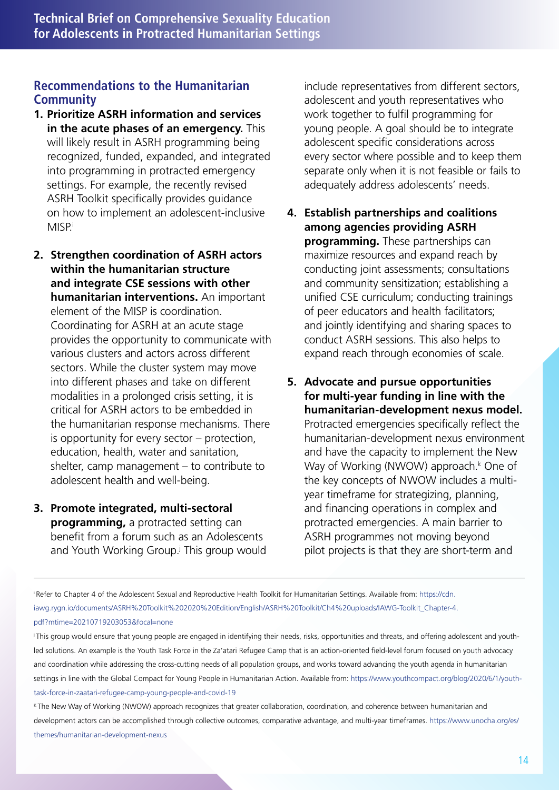# **Recommendations to the Humanitarian Community**

- **1. Prioritize ASRH information and services in the acute phases of an emergency.** This will likely result in ASRH programming being recognized, funded, expanded, and integrated into programming in protracted emergency settings. For example, the recently revised ASRH Toolkit specifically provides guidance on how to implement an adolescent-inclusive **MISP**i
- **2. Strengthen coordination of ASRH actors within the humanitarian structure and integrate CSE sessions with other humanitarian interventions.** An important element of the MISP is coordination. Coordinating for ASRH at an acute stage provides the opportunity to communicate with various clusters and actors across different sectors. While the cluster system may move into different phases and take on different modalities in a prolonged crisis setting, it is critical for ASRH actors to be embedded in the humanitarian response mechanisms. There is opportunity for every sector – protection, education, health, water and sanitation, shelter, camp management – to contribute to adolescent health and well-being.
- **3. Promote integrated, multi-sectoral programming,** a protracted setting can benefit from a forum such as an Adolescents and Youth Working Group.<sup>j</sup> This group would

include representatives from different sectors, adolescent and youth representatives who work together to fulfil programming for young people. A goal should be to integrate adolescent specific considerations across every sector where possible and to keep them separate only when it is not feasible or fails to adequately address adolescents' needs.

- **4. Establish partnerships and coalitions among agencies providing ASRH programming.** These partnerships can maximize resources and expand reach by conducting joint assessments; consultations and community sensitization; establishing a unified CSE curriculum; conducting trainings of peer educators and health facilitators; and jointly identifying and sharing spaces to conduct ASRH sessions. This also helps to expand reach through economies of scale.
- **5. Advocate and pursue opportunities for multi-year funding in line with the humanitarian-development nexus model.** Protracted emergencies specifically reflect the humanitarian-development nexus environment and have the capacity to implement the New Way of Working (NWOW) approach.<sup>k</sup> One of the key concepts of NWOW includes a multiyear timeframe for strategizing, planning, and financing operations in complex and protracted emergencies. A main barrier to ASRH programmes not moving beyond pilot projects is that they are short-term and

K The New Way of Working (NWOW) approach recognizes that greater collaboration, coordination, and coherence between humanitarian and development actors can be accomplished through collective outcomes, comparative advantage, and multi-year timeframes. https://www.unocha.org/es/ themes/humanitarian-development-nexus

i Refer to Chapter 4 of the Adolescent Sexual and Reproductive Health Toolkit for Humanitarian Settings. Available from: https://cdn. iawg.rygn.io/documents/ASRH%20Toolkit%202020%20Edition/English/ASRH%20Toolkit/Ch4%20uploads/IAWG-Toolkit\_Chapter-4. pdf?mtime=20210719203053&focal=none

j This group would ensure that young people are engaged in identifying their needs, risks, opportunities and threats, and offering adolescent and youthled solutions. An example is the Youth Task Force in the Za'atari Refugee Camp that is an action-oriented field-level forum focused on youth advocacy and coordination while addressing the cross-cutting needs of all population groups, and works toward advancing the youth agenda in humanitarian settings in line with the Global Compact for Young People in Humanitarian Action. Available from: https://www.youthcompact.org/blog/2020/6/1/youthtask-force-in-zaatari-refugee-camp-young-people-and-covid-19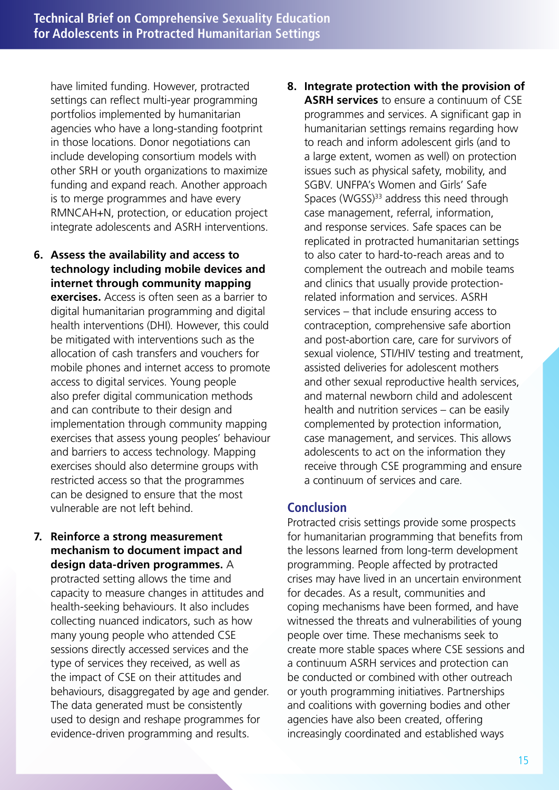have limited funding. However, protracted settings can reflect multi-year programming portfolios implemented by humanitarian agencies who have a long-standing footprint in those locations. Donor negotiations can include developing consortium models with other SRH or youth organizations to maximize funding and expand reach. Another approach is to merge programmes and have every RMNCAH+N, protection, or education project integrate adolescents and ASRH interventions.

- **6. Assess the availability and access to technology including mobile devices and internet through community mapping exercises.** Access is often seen as a barrier to digital humanitarian programming and digital health interventions (DHI). However, this could be mitigated with interventions such as the allocation of cash transfers and vouchers for mobile phones and internet access to promote access to digital services. Young people also prefer digital communication methods and can contribute to their design and implementation through community mapping exercises that assess young peoples' behaviour and barriers to access technology. Mapping exercises should also determine groups with restricted access so that the programmes can be designed to ensure that the most vulnerable are not left behind.
- **7. Reinforce a strong measurement mechanism to document impact and design data-driven programmes.** A

protracted setting allows the time and capacity to measure changes in attitudes and health-seeking behaviours. It also includes collecting nuanced indicators, such as how many young people who attended CSE sessions directly accessed services and the type of services they received, as well as the impact of CSE on their attitudes and behaviours, disaggregated by age and gender. The data generated must be consistently used to design and reshape programmes for evidence-driven programming and results.

**8. Integrate protection with the provision of ASRH services** to ensure a continuum of CSE programmes and services. A significant gap in humanitarian settings remains regarding how to reach and inform adolescent girls (and to a large extent, women as well) on protection issues such as physical safety, mobility, and SGBV. UNFPA's Women and Girls' Safe Spaces (WGSS) $33$  address this need through case management, referral, information, and response services. Safe spaces can be replicated in protracted humanitarian settings to also cater to hard-to-reach areas and to complement the outreach and mobile teams and clinics that usually provide protectionrelated information and services. ASRH services – that include ensuring access to contraception, comprehensive safe abortion and post-abortion care, care for survivors of sexual violence, STI/HIV testing and treatment, assisted deliveries for adolescent mothers and other sexual reproductive health services, and maternal newborn child and adolescent health and nutrition services – can be easily complemented by protection information, case management, and services. This allows adolescents to act on the information they receive through CSE programming and ensure a continuum of services and care.

## **Conclusion**

Protracted crisis settings provide some prospects for humanitarian programming that benefits from the lessons learned from long-term development programming. People affected by protracted crises may have lived in an uncertain environment for decades. As a result, communities and coping mechanisms have been formed, and have witnessed the threats and vulnerabilities of young people over time. These mechanisms seek to create more stable spaces where CSE sessions and a continuum ASRH services and protection can be conducted or combined with other outreach or youth programming initiatives. Partnerships and coalitions with governing bodies and other agencies have also been created, offering increasingly coordinated and established ways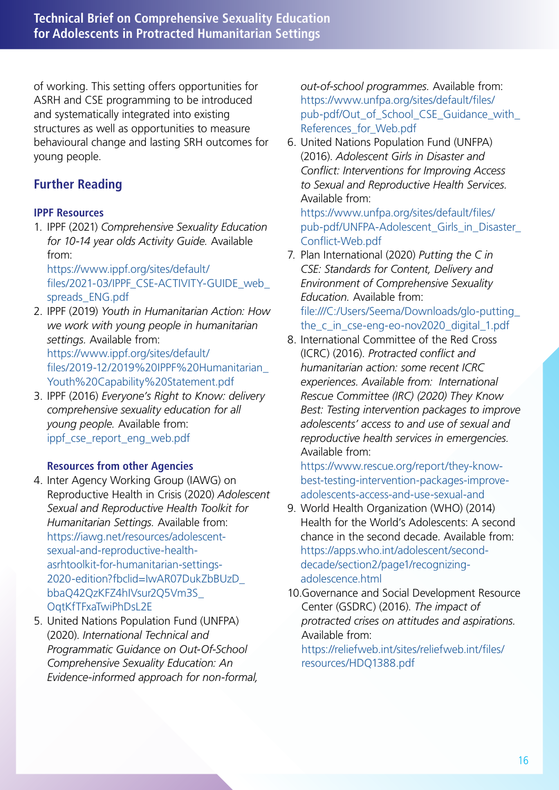of working. This setting offers opportunities for ASRH and CSE programming to be introduced and systematically integrated into existing structures as well as opportunities to measure behavioural change and lasting SRH outcomes for young people.

# **Further Reading**

#### **IPPF Resources**

1. IPPF (2021) *Comprehensive Sexuality Education for 10-14 year olds Activity Guide.* Available from:

https://www.ippf.org/sites/default/ files/2021-03/IPPF\_CSE-ACTIVITY-GUIDE\_web\_ spreads\_ENG.pdf

- 2. IPPF (2019) *Youth in Humanitarian Action: How we work with young people in humanitarian settings.* Available from: https://www.ippf.org/sites/default/ files/2019-12/2019%20IPPF%20Humanitarian\_ Youth%20Capability%20Statement.pdf
- 3. IPPF (2016) *Everyone's Right to Know: delivery comprehensive sexuality education for all young people.* Available from: ippf\_cse\_report\_eng\_web.pdf

## **Resources from other Agencies**

- 4. Inter Agency Working Group (IAWG) on Reproductive Health in Crisis (2020) *Adolescent Sexual and Reproductive Health Toolkit for Humanitarian Settings.* Available from: https://iawg.net/resources/adolescentsexual-and-reproductive-healthasrhtoolkit-for-humanitarian-settings-2020-edition?fbclid=IwAR07DukZbBUzD\_ bbaQ42QzKFZ4hIVsur2Q5Vm3S\_ OqtKfTFxaTwiPhDsL2E
- 5. United Nations Population Fund (UNFPA) (2020). *International Technical and Programmatic Guidance on Out-Of-School Comprehensive Sexuality Education: An Evidence-informed approach for non-formal,*

*out-of-school programmes.* Available from: https://www.unfpa.org/sites/default/files/ pub-pdf/Out\_of\_School\_CSE\_Guidance\_with\_ References for Web.pdf

6. United Nations Population Fund (UNFPA) (2016). *Adolescent Girls in Disaster and Conflict: Interventions for Improving Access to Sexual and Reproductive Health Services.* Available from:

https://www.unfpa.org/sites/default/files/ pub-pdf/UNFPA-Adolescent\_Girls\_in\_Disaster\_ Conflict-Web.pdf

7. Plan International (2020) *Putting the C in CSE: Standards for Content, Delivery and Environment of Comprehensive Sexuality Education.* Available from: file:///C:/Users/Seema/Downloads/glo-putting\_ the\_c\_in\_cse-eng-eo-nov2020\_digital\_1.pdf

8. International Committee of the Red Cross (ICRC) (2016). *Protracted conflict and humanitarian action: some recent ICRC experiences. Available from: International Rescue Committee (IRC) (2020) They Know Best: Testing intervention packages to improve adolescents' access to and use of sexual and reproductive health services in emergencies.* Available from:

https://www.rescue.org/report/they-knowbest-testing-intervention-packages-improveadolescents-access-and-use-sexual-and

- 9. World Health Organization (WHO) (2014) Health for the World's Adolescents: A second chance in the second decade. Available from: https://apps.who.int/adolescent/seconddecade/section2/page1/recognizingadolescence.html
- 10.Governance and Social Development Resource Center (GSDRC) (2016). *The impact of protracted crises on attitudes and aspirations.* Available from:

https://reliefweb.int/sites/reliefweb.int/files/ resources/HDQ1388.pdf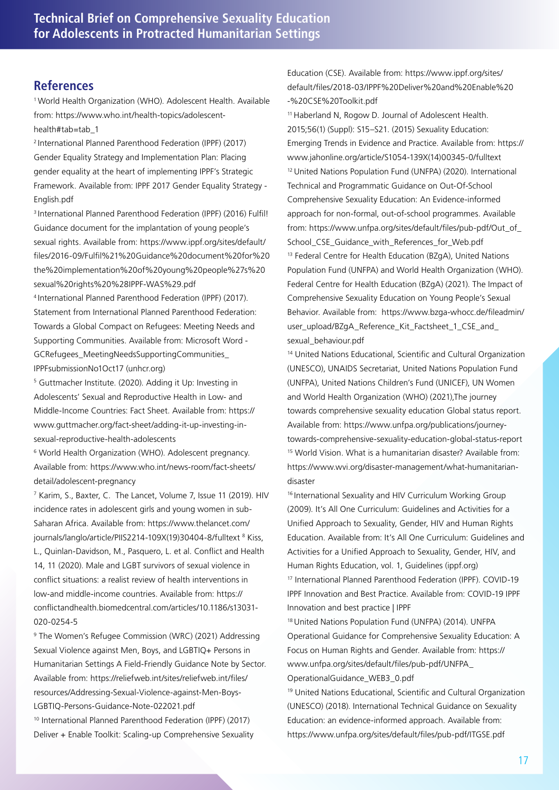#### **References**

1World Health Organization (WHO). Adolescent Health. Available from: https://www.who.int/health-topics/adolescenthealth#tab=tab\_1

<sup>2</sup> International Planned Parenthood Federation (IPPF) (2017) Gender Equality Strategy and Implementation Plan: Placing gender equality at the heart of implementing IPPF's Strategic Framework. Available from: IPPF 2017 Gender Equality Strategy - English.pdf

<sup>3</sup> International Planned Parenthood Federation (IPPF) (2016) Fulfil! Guidance document for the implantation of young people's sexual rights. Available from: https://www.ippf.org/sites/default/ files/2016-09/Fulfil%21%20Guidance%20document%20for%20 the%20implementation%20of%20young%20people%27s%20 sexual%20rights%20%28IPPF-WAS%29.pdf

<sup>4</sup> International Planned Parenthood Federation (IPPF) (2017). Statement from International Planned Parenthood Federation: Towards a Global Compact on Refugees: Meeting Needs and Supporting Communities. Available from: Microsoft Word - GCRefugees\_MeetingNeedsSupportingCommunities\_ IPPFsubmissionNo1Oct17 (unhcr.org)

5 Guttmacher Institute. (2020). Adding it Up: Investing in Adolescents' Sexual and Reproductive Health in Low- and Middle-Income Countries: Fact Sheet. Available from: https:// www.guttmacher.org/fact-sheet/adding-it-up-investing-insexual-reproductive-health-adolescents

6 World Health Organization (WHO). Adolescent pregnancy. Available from: https://www.who.int/news-room/fact-sheets/ detail/adolescent-pregnancy

7 Karim, S., Baxter, C. The Lancet, Volume 7, Issue 11 (2019). HIV incidence rates in adolescent girls and young women in sub-Saharan Africa. Available from: https://www.thelancet.com/ journals/langlo/article/PIIS2214-109X(19)30404-8/fulltext <sup>8</sup> Kiss, L., Quinlan-Davidson, M., Pasquero, L. et al. Conflict and Health 14, 11 (2020). Male and LGBT survivors of sexual violence in conflict situations: a realist review of health interventions in low-and middle-income countries. Available from: https:// conflictandhealth.biomedcentral.com/articles/10.1186/s13031- 020-0254-5

9 The Women's Refugee Commission (WRC) (2021) Addressing Sexual Violence against Men, Boys, and LGBTIQ+ Persons in Humanitarian Settings A Field-Friendly Guidance Note by Sector. Available from: https://reliefweb.int/sites/reliefweb.int/files/ resources/Addressing-Sexual-Violence-against-Men-Boys-LGBTIQ-Persons-Guidance-Note-022021.pdf

10 International Planned Parenthood Federation (IPPF) (2017) Deliver + Enable Toolkit: Scaling-up Comprehensive Sexuality Education (CSE). Available from: https://www.ippf.org/sites/ default/files/2018-03/IPPF%20Deliver%20and%20Enable%20 -%20CSE%20Toolkit.pdf

11 Haberland N, Rogow D. Journal of Adolescent Health. 2015;56(1) (Suppl): S15–S21. (2015) Sexuality Education: Emerging Trends in Evidence and Practice. Available from: https:// www.jahonline.org/article/S1054-139X(14)00345-0/fulltext 12 United Nations Population Fund (UNFPA) (2020). International Technical and Programmatic Guidance on Out-Of-School Comprehensive Sexuality Education: An Evidence-informed approach for non-formal, out-of-school programmes. Available from: https://www.unfpa.org/sites/default/files/pub-pdf/Out\_of\_ School\_CSE\_Guidance\_with\_References\_for\_Web.pdf <sup>13</sup> Federal Centre for Health Education (BZgA), United Nations Population Fund (UNFPA) and World Health Organization (WHO). Federal Centre for Health Education (BZgA) (2021). The Impact of Comprehensive Sexuality Education on Young People's Sexual Behavior. Available from: https://www.bzga-whocc.de/fileadmin/ user\_upload/BZgA\_Reference\_Kit\_Factsheet\_1\_CSE\_and sexual\_behaviour.pdf

14 United Nations Educational, Scientific and Cultural Organization (UNESCO), UNAIDS Secretariat, United Nations Population Fund (UNFPA), United Nations Children's Fund (UNICEF), UN Women and World Health Organization (WHO) (2021),The journey towards comprehensive sexuality education Global status report. Available from: https://www.unfpa.org/publications/journeytowards-comprehensive-sexuality-education-global-status-report 15 World Vision. What is a humanitarian disaster? Available from: https://www.wvi.org/disaster-management/what-humanitariandisaster

16 International Sexuality and HIV Curriculum Working Group (2009). It's All One Curriculum: Guidelines and Activities for a Unified Approach to Sexuality, Gender, HIV and Human Rights Education. Available from: It's All One Curriculum: Guidelines and Activities for a Unified Approach to Sexuality, Gender, HIV, and Human Rights Education, vol. 1, Guidelines (ippf.org) 17 International Planned Parenthood Federation (IPPF). COVID-19 IPPF Innovation and Best Practice. Available from: COVID-19 IPPF Innovation and best practice | IPPF

18 United Nations Population Fund (UNFPA) (2014). UNFPA Operational Guidance for Comprehensive Sexuality Education: A Focus on Human Rights and Gender. Available from: https:// www.unfpa.org/sites/default/files/pub-pdf/UNFPA\_ OperationalGuidance\_WEB3\_0.pdf

19 United Nations Educational, Scientific and Cultural Organization (UNESCO) (2018). International Technical Guidance on Sexuality Education: an evidence-informed approach. Available from: https://www.unfpa.org/sites/default/files/pub-pdf/ITGSE.pdf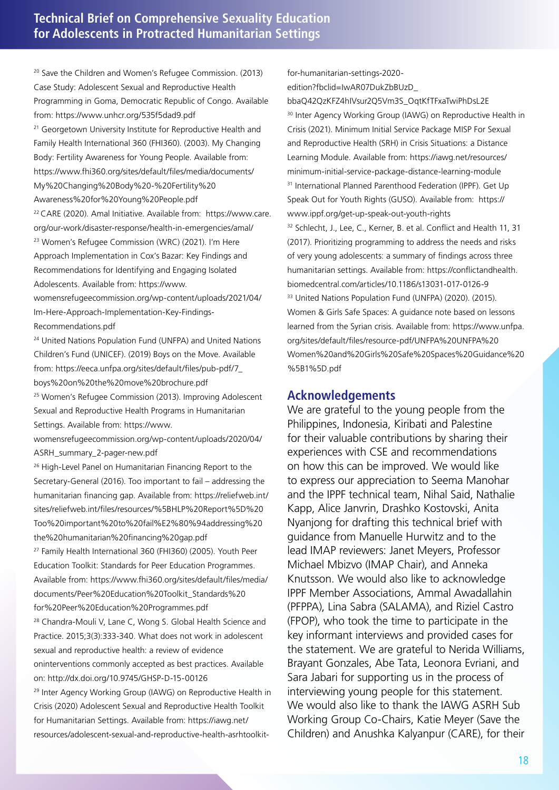20 Save the Children and Women's Refugee Commission. (2013) Case Study: Adolescent Sexual and Reproductive Health Programming in Goma, Democratic Republic of Congo. Available from: https://www.unhcr.org/535f5dad9.pdf <sup>21</sup> Georgetown University Institute for Reproductive Health and Family Health International 360 (FHI360). (2003). My Changing Body: Fertility Awareness for Young People. Available from: https://www.fhi360.org/sites/default/files/media/documents/ My%20Changing%20Body%20-%20Fertility%20 Awareness%20for%20Young%20People.pdf 22 CARE (2020). Amal Initiative. Available from: https://www.care.

org/our-work/disaster-response/health-in-emergencies/amal/ 23 Women's Refugee Commission (WRC) (2021). I'm Here Approach Implementation in Cox's Bazar: Key Findings and Recommendations for Identifying and Engaging Isolated Adolescents. Available from: https://www.

womensrefugeecommission.org/wp-content/uploads/2021/04/ Im-Here-Approach-Implementation-Key-Findings-Recommendations.pdf

<sup>24</sup> United Nations Population Fund (UNFPA) and United Nations Children's Fund (UNICEF). (2019) Boys on the Move. Available from: https://eeca.unfpa.org/sites/default/files/pub-pdf/7\_ boys%20on%20the%20move%20brochure.pdf

25 Women's Refugee Commission (2013). Improving Adolescent Sexual and Reproductive Health Programs in Humanitarian Settings. Available from: https://www.

womensrefugeecommission.org/wp-content/uploads/2020/04/ ASRH\_summary\_2-pager-new.pdf

26 High-Level Panel on Humanitarian Financing Report to the Secretary-General (2016). Too important to fail – addressing the humanitarian financing gap. Available from: https://reliefweb.int/ sites/reliefweb.int/files/resources/%5BHLP%20Report%5D%20 Too%20important%20to%20fail%E2%80%94addressing%20 the%20humanitarian%20financing%20gap.pdf

27 Family Health International 360 (FHI360) (2005). Youth Peer Education Toolkit: Standards for Peer Education Programmes. Available from: https://www.fhi360.org/sites/default/files/media/ documents/Peer%20Education%20Toolkit\_Standards%20 for%20Peer%20Education%20Programmes.pdf

<sup>28</sup> Chandra-Mouli V, Lane C, Wong S, Global Health Science and Practice. 2015;3(3):333-340. What does not work in adolescent sexual and reproductive health: a review of evidence oninterventions commonly accepted as best practices. Available on: http://dx.doi.org/10.9745/GHSP-D-15-00126

<sup>29</sup> Inter Agency Working Group (IAWG) on Reproductive Health in Crisis (2020) Adolescent Sexual and Reproductive Health Toolkit for Humanitarian Settings. Available from: https://iawg.net/ resources/adolescent-sexual-and-reproductive-health-asrhtoolkitfor-humanitarian-settings-2020 edition?fbclid=IwAR07DukZbBUzD\_

bbaQ42QzKFZ4hIVsur2Q5Vm3S\_OqtKfTFxaTwiPhDsL2E <sup>30</sup> Inter Agency Working Group (IAWG) on Reproductive Health in Crisis (2021). Minimum Initial Service Package MISP For Sexual and Reproductive Health (SRH) in Crisis Situations: a Distance Learning Module. Available from: https://iawg.net/resources/ minimum-initial-service-package-distance-learning-module <sup>31</sup> International Planned Parenthood Federation (IPPF). Get Up Speak Out for Youth Rights (GUSO). Available from: https:// www.ippf.org/get-up-speak-out-youth-rights <sup>32</sup> Schlecht, J., Lee, C., Kerner, B. et al. Conflict and Health 11, 31 (2017). Prioritizing programming to address the needs and risks of very young adolescents: a summary of findings across three humanitarian settings. Available from: https://conflictandhealth. biomedcentral.com/articles/10.1186/s13031-017-0126-9 33 United Nations Population Fund (UNFPA) (2020). (2015). Women & Girls Safe Spaces: A guidance note based on lessons learned from the Syrian crisis. Available from: https://www.unfpa. org/sites/default/files/resource-pdf/UNFPA%20UNFPA%20 Women%20and%20Girls%20Safe%20Spaces%20Guidance%20 %5B1%5D.pdf

#### **Acknowledgements**

We are grateful to the young people from the Philippines, Indonesia, Kiribati and Palestine for their valuable contributions by sharing their experiences with CSE and recommendations on how this can be improved. We would like to express our appreciation to Seema Manohar and the IPPF technical team, Nihal Said, Nathalie Kapp, Alice Janvrin, Drashko Kostovski, Anita Nyanjong for drafting this technical brief with guidance from Manuelle Hurwitz and to the lead IMAP reviewers: Janet Meyers, Professor Michael Mbizvo (IMAP Chair), and Anneka Knutsson. We would also like to acknowledge IPPF Member Associations, Ammal Awadallahin (PFPPA), Lina Sabra (SALAMA), and Riziel Castro (FPOP), who took the time to participate in the key informant interviews and provided cases for the statement. We are grateful to Nerida Williams, Brayant Gonzales, Abe Tata, Leonora Evriani, and Sara Jabari for supporting us in the process of interviewing young people for this statement. We would also like to thank the IAWG ASRH Sub Working Group Co-Chairs, Katie Meyer (Save the Children) and Anushka Kalyanpur (CARE), for their